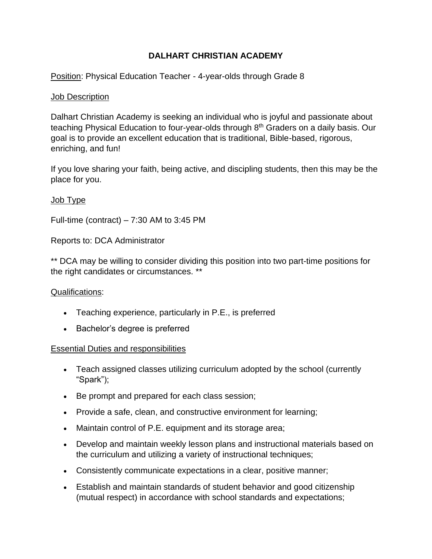# **DALHART CHRISTIAN ACADEMY**

Position: Physical Education Teacher - 4-year-olds through Grade 8

## Job Description

Dalhart Christian Academy is seeking an individual who is joyful and passionate about teaching Physical Education to four-year-olds through  $8<sup>th</sup>$  Graders on a daily basis. Our goal is to provide an excellent education that is traditional, Bible-based, rigorous, enriching, and fun!

If you love sharing your faith, being active, and discipling students, then this may be the place for you.

## Job Type

Full-time (contract) – 7:30 AM to 3:45 PM

Reports to: DCA Administrator

\*\* DCA may be willing to consider dividing this position into two part-time positions for the right candidates or circumstances. \*\*

## Qualifications:

- Teaching experience, particularly in P.E., is preferred
- Bachelor's degree is preferred

## Essential Duties and responsibilities

- Teach assigned classes utilizing curriculum adopted by the school (currently "Spark");
- Be prompt and prepared for each class session;
- Provide a safe, clean, and constructive environment for learning;
- Maintain control of P.E. equipment and its storage area;
- Develop and maintain weekly lesson plans and instructional materials based on the curriculum and utilizing a variety of instructional techniques;
- Consistently communicate expectations in a clear, positive manner;
- Establish and maintain standards of student behavior and good citizenship (mutual respect) in accordance with school standards and expectations;